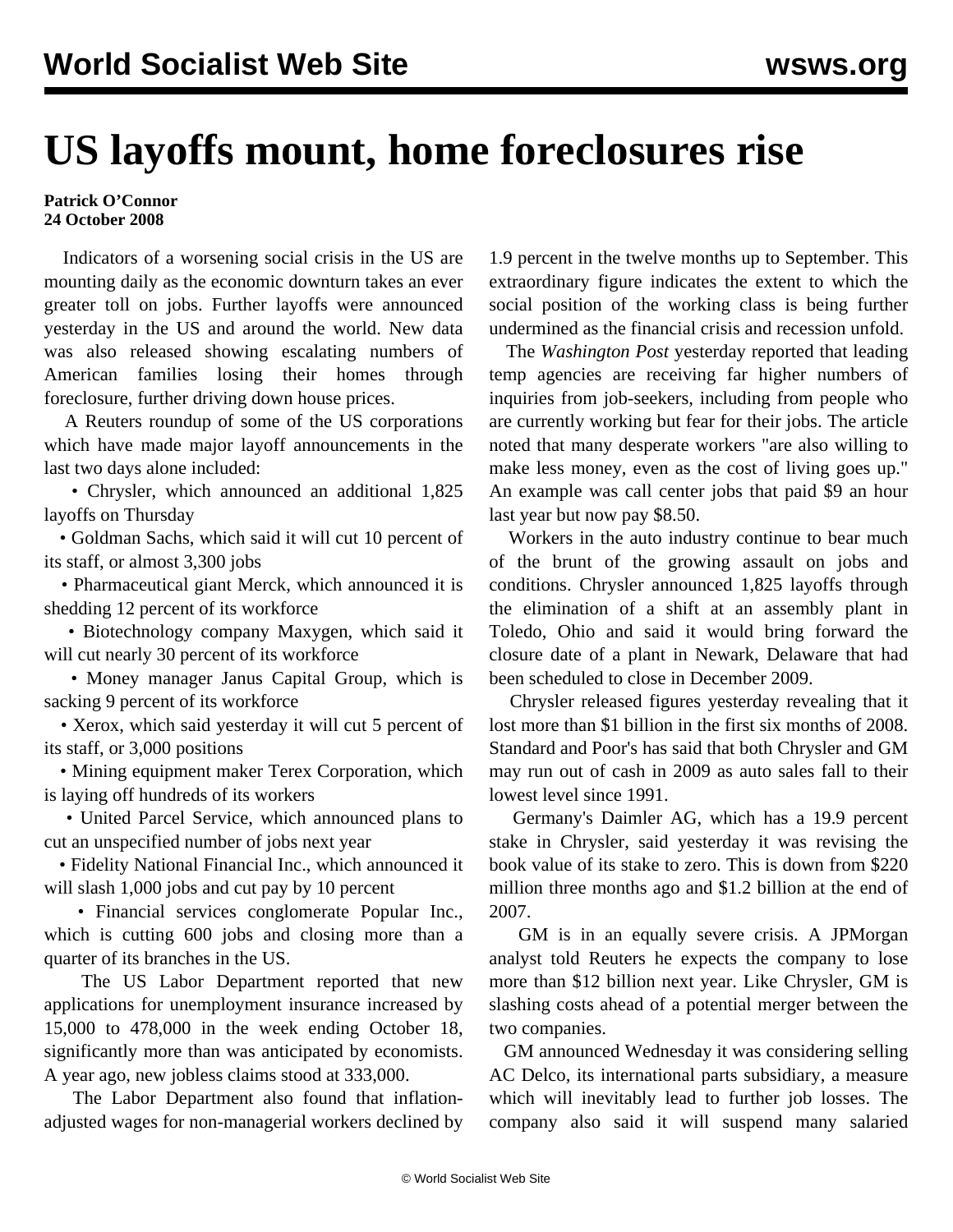## **US layoffs mount, home foreclosures rise**

## **Patrick O'Connor 24 October 2008**

 Indicators of a worsening social crisis in the US are mounting daily as the economic downturn takes an ever greater toll on jobs. Further layoffs were announced yesterday in the US and around the world. New data was also released showing escalating numbers of American families losing their homes through foreclosure, further driving down house prices.

 A Reuters roundup of some of the US corporations which have made major layoff announcements in the last two days alone included:

 • Chrysler, which announced an additional 1,825 layoffs on Thursday

 • Goldman Sachs, which said it will cut 10 percent of its staff, or almost 3,300 jobs

 • Pharmaceutical giant Merck, which announced it is shedding 12 percent of its workforce

 • Biotechnology company Maxygen, which said it will cut nearly 30 percent of its workforce

 • Money manager Janus Capital Group, which is sacking 9 percent of its workforce

 • Xerox, which said yesterday it will cut 5 percent of its staff, or 3,000 positions

 • Mining equipment maker Terex Corporation, which is laying off hundreds of its workers

 • United Parcel Service, which announced plans to cut an unspecified number of jobs next year

 • Fidelity National Financial Inc., which announced it will slash 1,000 jobs and cut pay by 10 percent

 • Financial services conglomerate Popular Inc., which is cutting 600 jobs and closing more than a quarter of its branches in the US.

 The US Labor Department reported that new applications for unemployment insurance increased by 15,000 to 478,000 in the week ending October 18, significantly more than was anticipated by economists. A year ago, new jobless claims stood at 333,000.

 The Labor Department also found that inflationadjusted wages for non-managerial workers declined by 1.9 percent in the twelve months up to September. This extraordinary figure indicates the extent to which the social position of the working class is being further undermined as the financial crisis and recession unfold.

 The *Washington Post* yesterday reported that leading temp agencies are receiving far higher numbers of inquiries from job-seekers, including from people who are currently working but fear for their jobs. The article noted that many desperate workers "are also willing to make less money, even as the cost of living goes up." An example was call center jobs that paid \$9 an hour last year but now pay \$8.50.

 Workers in the auto industry continue to bear much of the brunt of the growing assault on jobs and conditions. Chrysler announced 1,825 layoffs through the elimination of a shift at an assembly plant in Toledo, Ohio and said it would bring forward the closure date of a plant in Newark, Delaware that had been scheduled to close in December 2009.

 Chrysler released figures yesterday revealing that it lost more than \$1 billion in the first six months of 2008. Standard and Poor's has said that both Chrysler and GM may run out of cash in 2009 as auto sales fall to their lowest level since 1991.

 Germany's Daimler AG, which has a 19.9 percent stake in Chrysler, said yesterday it was revising the book value of its stake to zero. This is down from \$220 million three months ago and \$1.2 billion at the end of 2007.

 GM is in an equally severe crisis. A JPMorgan analyst told Reuters he expects the company to lose more than \$12 billion next year. Like Chrysler, GM is slashing costs ahead of a potential merger between the two companies.

 GM announced Wednesday it was considering selling AC Delco, its international parts subsidiary, a measure which will inevitably lead to further job losses. The company also said it will suspend many salaried